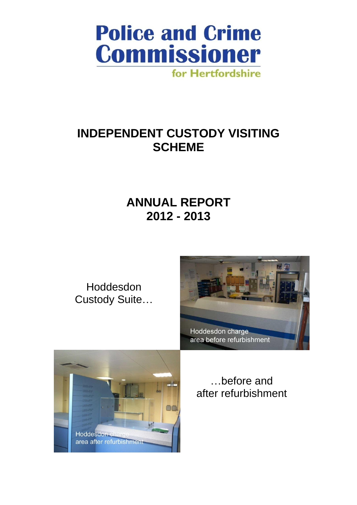

# **INDEPENDENT CUSTODY VISITING SCHEME**

# **ANNUAL REPORT 2012 - 2013**

Hoddesdon Custody Suite…





…before and after refurbishment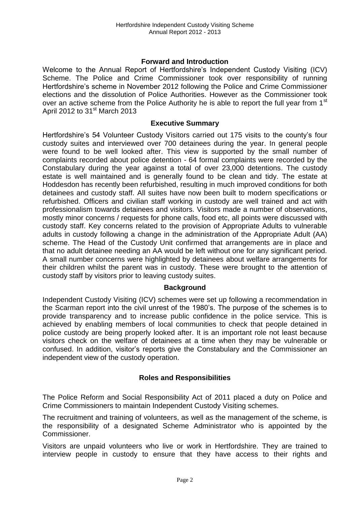## **Forward and Introduction**

Welcome to the Annual Report of Hertfordshire's Independent Custody Visiting (ICV) Scheme. The Police and Crime Commissioner took over responsibility of running Hertfordshire's scheme in November 2012 following the Police and Crime Commissioner elections and the dissolution of Police Authorities. However as the Commissioner took over an active scheme from the Police Authority he is able to report the full year from 1<sup>st</sup> April 2012 to  $31<sup>st</sup>$  March 2013

#### **Executive Summary**

Hertfordshire's 54 Volunteer Custody Visitors carried out 175 visits to the county's four custody suites and interviewed over 700 detainees during the year. In general people were found to be well looked after. This view is supported by the small number of complaints recorded about police detention - 64 formal complaints were recorded by the Constabulary during the year against a total of over 23,000 detentions. The custody estate is well maintained and is generally found to be clean and tidy. The estate at Hoddesdon has recently been refurbished, resulting in much improved conditions for both detainees and custody staff. All suites have now been built to modern specifications or refurbished. Officers and civilian staff working in custody are well trained and act with professionalism towards detainees and visitors. Visitors made a number of observations, mostly minor concerns / requests for phone calls, food etc, all points were discussed with custody staff. Key concerns related to the provision of Appropriate Adults to vulnerable adults in custody following a change in the administration of the Appropriate Adult (AA) scheme. The Head of the Custody Unit confirmed that arrangements are in place and that no adult detainee needing an AA would be left without one for any significant period. A small number concerns were highlighted by detainees about welfare arrangements for their children whilst the parent was in custody. These were brought to the attention of custody staff by visitors prior to leaving custody suites.

## **Background**

Independent Custody Visiting (ICV) schemes were set up following a recommendation in the Scarman report into the civil unrest of the 1980's. The purpose of the schemes is to provide transparency and to increase public confidence in the police service. This is achieved by enabling members of local communities to check that people detained in police custody are being properly looked after. It is an important role not least because visitors check on the welfare of detainees at a time when they may be vulnerable or confused. In addition, visitor's reports give the Constabulary and the Commissioner an independent view of the custody operation.

## **Roles and Responsibilities**

The Police Reform and Social Responsibility Act of 2011 placed a duty on Police and Crime Commissioners to maintain Independent Custody Visiting schemes.

The recruitment and training of volunteers, as well as the management of the scheme, is the responsibility of a designated Scheme Administrator who is appointed by the Commissioner.

Visitors are unpaid volunteers who live or work in Hertfordshire. They are trained to interview people in custody to ensure that they have access to their rights and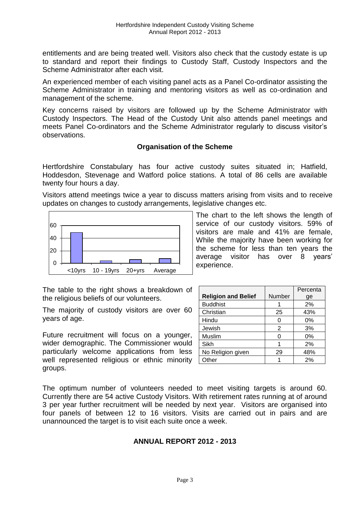entitlements and are being treated well. Visitors also check that the custody estate is up to standard and report their findings to Custody Staff, Custody Inspectors and the Scheme Administrator after each visit.

An experienced member of each visiting panel acts as a Panel Co-ordinator assisting the Scheme Administrator in training and mentoring visitors as well as co-ordination and management of the scheme.

Key concerns raised by visitors are followed up by the Scheme Administrator with Custody Inspectors. The Head of the Custody Unit also attends panel meetings and meets Panel Co-ordinators and the Scheme Administrator regularly to discuss visitor's observations.

## **Organisation of the Scheme**

Hertfordshire Constabulary has four active custody suites situated in; Hatfield, Hoddesdon, Stevenage and Watford police stations. A total of 86 cells are available twenty four hours a day.

Visitors attend meetings twice a year to discuss matters arising from visits and to receive updates on changes to custody arrangements, legislative changes etc.



While the majority have been working for the scheme for less than ten years the average visitor has over 8 years' experience.

The table to the right shows a breakdown of the religious beliefs of our volunteers.

The majority of custody visitors are over 60 years of age.

Future recruitment will focus on a younger, wider demographic. The Commissioner would particularly welcome applications from less well represented religious or ethnic minority groups.

|                            |        | Percenta |
|----------------------------|--------|----------|
| <b>Religion and Belief</b> | Number | ge       |
| <b>Buddhist</b>            |        | 2%       |
| Christian                  | 25     | 43%      |
| Hindu                      |        | 0%       |
| Jewish                     | 2      | 3%       |
| Muslim                     |        | 0%       |
| Sikh                       |        | 2%       |
| No Religion given          | 29     | 48%      |
| Other                      |        | 2%       |

The chart to the left shows the length of service of our custody visitors. 59% of visitors are male and 41% are female,

The optimum number of volunteers needed to meet visiting targets is around 60. Currently there are 54 active Custody Visitors. With retirement rates running at of around 3 per year further recruitment will be needed by next year. Visitors are organised into four panels of between 12 to 16 visitors. Visits are carried out in pairs and are unannounced the target is to visit each suite once a week.

## **ANNUAL REPORT 2012 - 2013**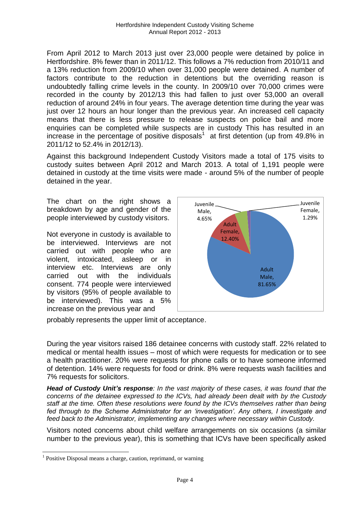From April 2012 to March 2013 just over 23,000 people were detained by police in Hertfordshire. 8% fewer than in 2011/12. This follows a 7% reduction from 2010/11 and a 13% reduction from 2009/10 when over 31,000 people were detained. A number of factors contribute to the reduction in detentions but the overriding reason is undoubtedly falling crime levels in the county. In 2009/10 over 70,000 crimes were recorded in the county by 2012/13 this had fallen to just over 53,000 an overall reduction of around 24% in four years. The average detention time during the year was just over 12 hours an hour longer than the previous year. An increased cell capacity means that there is less pressure to release suspects on police bail and more enquiries can be completed while suspects are in custody This has resulted in an increase in the percentage of positive disposals<sup>1</sup> at first detention (up from 49.8% in 2011/12 to 52.4% in 2012/13).

Against this background Independent Custody Visitors made a total of 175 visits to custody suites between April 2012 and March 2013. A total of 1,191 people were detained in custody at the time visits were made - around 5% of the number of people detained in the year.

The chart on the right shows a breakdown by age and gender of the people interviewed by custody visitors.

Not everyone in custody is available to be interviewed. Interviews are not carried out with people who are violent, intoxicated, asleep or in interview etc. Interviews are only carried out with the individuals consent. 774 people were interviewed by visitors (95% of people available to be interviewed). This was a 5% increase on the previous year and



probably represents the upper limit of acceptance.

During the year visitors raised 186 detainee concerns with custody staff. 22% related to medical or mental health issues – most of which were requests for medication or to see a health practitioner. 20% were requests for phone calls or to have someone informed of detention. 14% were requests for food or drink. 8% were requests wash facilities and 7% requests for solicitors.

*Head of Custody Unit's response: In the vast majority of these cases, it was found that the concerns of the detainee expressed to the ICVs, had already been dealt with by the Custody staff at the time. Often these resolutions were found by the ICVs themselves rather than being fed through to the Scheme Administrator for an 'investigation'. Any others, I investigate and feed back to the Administrator, implementing any changes where necessary within Custody.*

Visitors noted concerns about child welfare arrangements on six occasions (a similar number to the previous year), this is something that ICVs have been specifically asked

l

<sup>&</sup>lt;sup>1</sup> Positive Disposal means a charge, caution, reprimand, or warning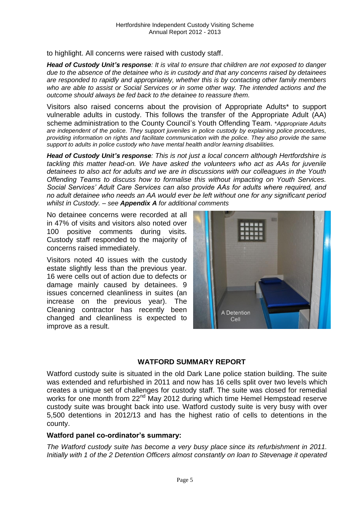to highlight. All concerns were raised with custody staff.

*Head of Custody Unit's response: It is vital to ensure that children are not exposed to danger due to the absence of the detainee who is in custody and that any concerns raised by detainees are responded to rapidly and appropriately, whether this is by contacting other family members who are able to assist or Social Services or in some other way. The intended actions and the outcome should always be fed back to the detainee to reassure them.*

Visitors also raised concerns about the provision of Appropriate Adults\* to support vulnerable adults in custody. This follows the transfer of the Appropriate Adult (AA) scheme administration to the County Council's Youth Offending Team. \**Appropriate Adults are independent of the police. They support juveniles in police custody by explaining police procedures, providing information on rights and facilitate communication with the police. They also provide the same support to adults in police custody who have mental health and/or learning disabilities.*

*Head of Custody Unit's response: This is not just a local concern although Hertfordshire is tackling this matter head-on. We have asked the volunteers who act as AAs for juvenile detainees to also act for adults and we are in discussions with our colleagues in the Youth Offending Teams to discuss how to formalise this without impacting on Youth Services. Social Services' Adult Care Services can also provide AAs for adults where required, and no adult detainee who needs an AA would ever be left without one for any significant period whilst in Custody. – see Appendix A for additional comments*

No detainee concerns were recorded at all in 47% of visits and visitors also noted over 100 positive comments during visits. Custody staff responded to the majority of concerns raised immediately.

Visitors noted 40 issues with the custody estate slightly less than the previous year. 16 were cells out of action due to defects or damage mainly caused by detainees. 9 issues concerned cleanliness in suites (an increase on the previous year). The Cleaning contractor has recently been changed and cleanliness is expected to improve as a result.



## **WATFORD SUMMARY REPORT**

Watford custody suite is situated in the old Dark Lane police station building. The suite was extended and refurbished in 2011 and now has 16 cells split over two levels which creates a unique set of challenges for custody staff. The suite was closed for remedial works for one month from 22<sup>nd</sup> May 2012 during which time Hemel Hempstead reserve custody suite was brought back into use. Watford custody suite is very busy with over 5,500 detentions in 2012/13 and has the highest ratio of cells to detentions in the county.

## **Watford panel co-ordinator's summary:**

*The Watford custody suite has become a very busy place since its refurbishment in 2011. Initially with 1 of the 2 Detention Officers almost constantly on loan to Stevenage it operated*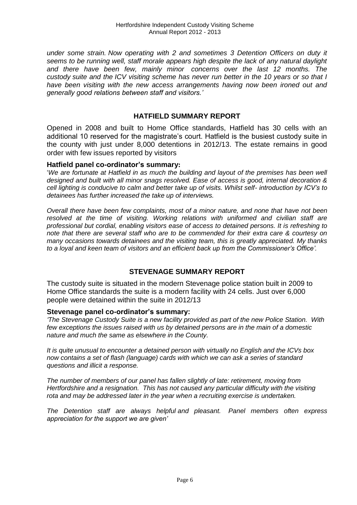*under some strain. Now operating with 2 and sometimes 3 Detention Officers on duty it seems to be running well, staff morale appears high despite the lack of any natural daylight and there have been few, mainly minor concerns over the last 12 months. The custody suite and the ICV visiting scheme has never run better in the 10 years or so that I have been visiting with the new access arrangements having now been ironed out and generally good relations between staff and visitors.'*

## **HATFIELD SUMMARY REPORT**

Opened in 2008 and built to Home Office standards, Hatfield has 30 cells with an additional 10 reserved for the magistrate's court. Hatfield is the busiest custody suite in the county with just under 8,000 detentions in 2012/13. The estate remains in good order with few issues reported by visitors

#### **Hatfield panel co-ordinator's summary:**

'*We are fortunate at Hatfield in as much the building and layout of the premises has been well designed and built with all minor snags resolved. Ease of access is good, internal decoration & cell lighting is conducive to calm and better take up of visits. Whilst self- introduction by ICV's to detainees has further increased the take up of interviews.*

*Overall there have been few complaints, most of a minor nature, and none that have not been resolved at the time of visiting. Working relations with uniformed and civilian staff are professional but cordial, enabling visitors ease of access to detained persons. It is refreshing to note that there are several staff who are to be commended for their extra care & courtesy on many occasions towards detainees and the visiting team, this is greatly appreciated. My thanks to a loyal and keen team of visitors and an efficient back up from the Commissioner's Office'.*

# **STEVENAGE SUMMARY REPORT**

The custody suite is situated in the modern Stevenage police station built in 2009 to Home Office standards the suite is a modern facility with 24 cells. Just over 6,000 people were detained within the suite in 2012/13

#### **Stevenage panel co-ordinator's summary:**

*'The Stevenage Custody Suite is a new facility provided as part of the new Police Station. With few exceptions the issues raised with us by detained persons are in the main of a domestic nature and much the same as elsewhere in the County.*

*It is quite unusual to encounter a detained person with virtually no English and the ICVs box now contains a set of flash (language) cards with which we can ask a series of standard questions and illicit a response.*

*The number of members of our panel has fallen slightly of late: retirement, moving from Hertfordshire and a resignation. This has not caused any particular difficulty with the visiting rota and may be addressed later in the year when a recruiting exercise is undertaken.*

*The Detention staff are always helpful and pleasant. Panel members often express appreciation for the support we are given'*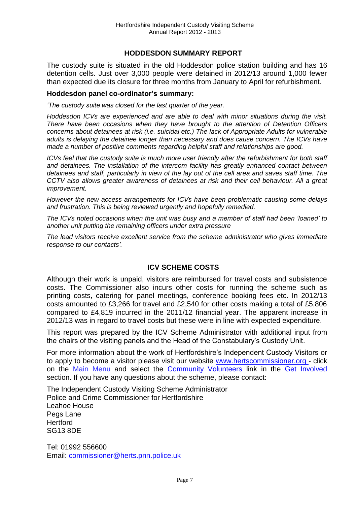## **HODDESDON SUMMARY REPORT**

The custody suite is situated in the old Hoddesdon police station building and has 16 detention cells. Just over 3,000 people were detained in 2012/13 around 1,000 fewer than expected due its closure for three months from January to April for refurbishment.

#### **Hoddesdon panel co-ordinator's summary:**

*'The custody suite was closed for the last quarter of the year.*

*Hoddesdon ICVs are experienced and are able to deal with minor situations during the visit. There have been occasions when they have brought to the attention of Detention Officers concerns about detainees at risk (i.e. suicidal etc.) The lack of Appropriate Adults for vulnerable adults is delaying the detainee longer than necessary and does cause concern. The ICVs have made a number of positive comments regarding helpful staff and relationships are good.*

*ICVs feel that the custody suite is much more user friendly after the refurbishment for both staff and detainees. The installation of the intercom facility has greatly enhanced contact between detainees and staff, particularly in view of the lay out of the cell area and saves staff time. The CCTV also allows greater awareness of detainees at risk and their cell behaviour. All a great improvement.*

*However the new access arrangements for ICVs have been problematic causing some delays and frustration. This is being reviewed urgently and hopefully remedied.*

*The ICVs noted occasions when the unit was busy and a member of staff had been 'loaned' to another unit putting the remaining officers under extra pressure*

*The lead visitors receive excellent service from the scheme administrator who gives immediate response to our contacts'.*

# **ICV SCHEME COSTS**

Although their work is unpaid, visitors are reimbursed for travel costs and subsistence costs. The Commissioner also incurs other costs for running the scheme such as printing costs, catering for panel meetings, conference booking fees etc. In 2012/13 costs amounted to £3,266 for travel and £2,540 for other costs making a total of £5,806 compared to £4,819 incurred in the 2011/12 financial year. The apparent increase in 2012/13 was in regard to travel costs but these were in line with expected expenditure.

This report was prepared by the ICV Scheme Administrator with additional input from the chairs of the visiting panels and the Head of the Constabulary's Custody Unit.

For more information about the work of Hertfordshire's Independent Custody Visitors or to apply to become a visitor please visit our website [www.hertscommissioner.org](http://www.hertscommissioner.org/) - click on the Main Menu and select the Community Volunteers link in the Get Involved section. If you have any questions about the scheme, please contact:

The Independent Custody Visiting Scheme Administrator Police and Crime Commissioner for Hertfordshire Leahoe House Pegs Lane **Hertford** SG13 8DE

Tel: 01992 556600 Email: [commissioner@herts.pnn.police.uk](mailto:commissioner@herts.pnn.police.uk)